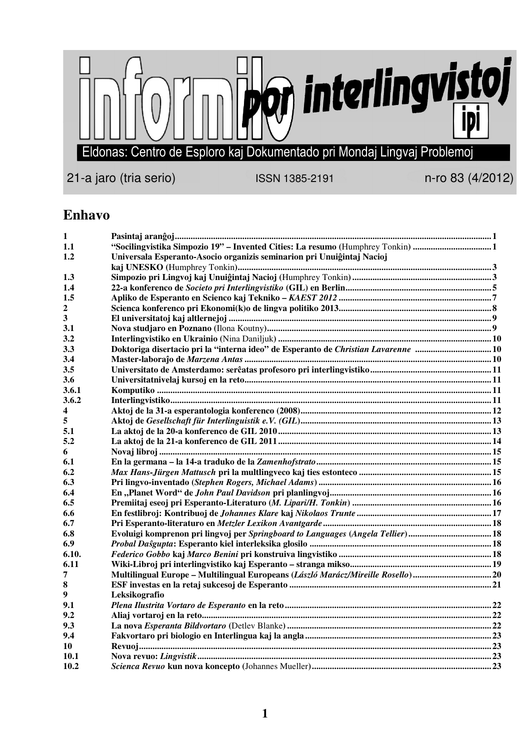

**Enhavo** 

| 1            |                                                                                   |  |
|--------------|-----------------------------------------------------------------------------------|--|
| 1.1          | "Socilingvistika Simpozio 19" – Invented Cities: La resumo (Humphrey Tonkin) 1    |  |
| 1.2          | Universala Esperanto-Asocio organizis seminarion pri Unuiĝintaj Nacioj            |  |
|              |                                                                                   |  |
| 1.3          |                                                                                   |  |
| 1.4          |                                                                                   |  |
| 1.5          |                                                                                   |  |
| $\mathbf{2}$ |                                                                                   |  |
| 3            |                                                                                   |  |
| 3.1          |                                                                                   |  |
| 3.2          |                                                                                   |  |
| 3.3          |                                                                                   |  |
| 3.4          |                                                                                   |  |
| 3.5          |                                                                                   |  |
| 3.6          |                                                                                   |  |
| 3.6.1        |                                                                                   |  |
| 3.6.2        |                                                                                   |  |
| 4            |                                                                                   |  |
| 5            |                                                                                   |  |
| 5.1          |                                                                                   |  |
| 5.2          |                                                                                   |  |
| 6            |                                                                                   |  |
| 6.1          |                                                                                   |  |
| 6.2          |                                                                                   |  |
| 6.3          |                                                                                   |  |
| 6.4          |                                                                                   |  |
| 6.5          |                                                                                   |  |
| 6.6          |                                                                                   |  |
| 6.7          |                                                                                   |  |
| 6.8          | Evoluigi komprenon pri lingvoj per Springboard to Languages (Angela Tellier)18    |  |
| 6.9          |                                                                                   |  |
| 6.10.        |                                                                                   |  |
| 6.11         |                                                                                   |  |
| 7            | Multilingual Europe – Multilingual Europeans (László Marácz/Mireille Rosello)  20 |  |
| 8            |                                                                                   |  |
| 9            | Leksikografio                                                                     |  |
| 9.1          |                                                                                   |  |
| 9.2          |                                                                                   |  |
| 9.3          |                                                                                   |  |
| 9.4          |                                                                                   |  |
| 10           |                                                                                   |  |
| 10.1         |                                                                                   |  |
| 10.2         |                                                                                   |  |
|              |                                                                                   |  |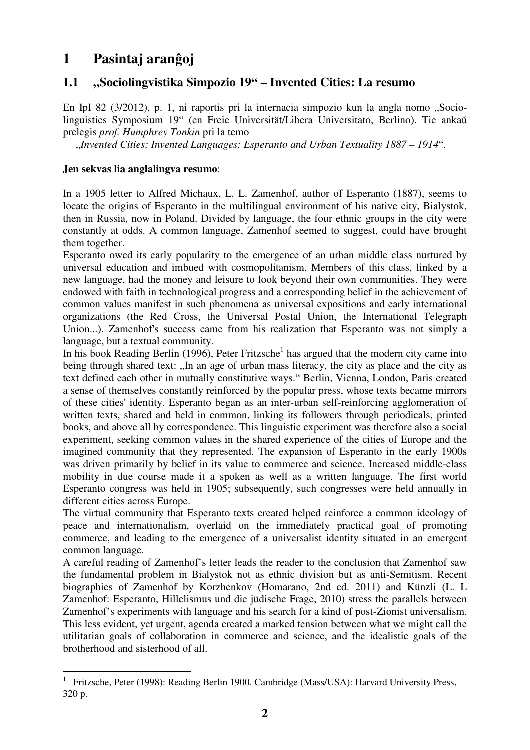# **1 Pasintaj aranĝoj**

## **1.1 "Sociolingvistika Simpozio 19" – Invented Cities: La resumo**

En IpI 82 (3/2012), p. 1, ni raportis pri la internacia simpozio kun la angla nomo "Sociolinguistics Symposium 19" (en Freie Universität/Libera Universitato, Berlino). Tie ankaŭ prelegis *prof. Humphrey Tonkin* pri la temo

"*Invented Cities; Invented Languages: Esperanto and Urban Textuality 1887 – 1914*".

### **Jen sekvas lia anglalingva resumo**:

 $\overline{a}$ 

In a 1905 letter to Alfred Michaux, L. L. Zamenhof, author of Esperanto (1887), seems to locate the origins of Esperanto in the multilingual environment of his native city, Bialystok, then in Russia, now in Poland. Divided by language, the four ethnic groups in the city were constantly at odds. A common language, Zamenhof seemed to suggest, could have brought them together.

Esperanto owed its early popularity to the emergence of an urban middle class nurtured by universal education and imbued with cosmopolitanism. Members of this class, linked by a new language, had the money and leisure to look beyond their own communities. They were endowed with faith in technological progress and a corresponding belief in the achievement of common values manifest in such phenomena as universal expositions and early international organizations (the Red Cross, the Universal Postal Union, the International Telegraph Union...). Zamenhof's success came from his realization that Esperanto was not simply a language, but a textual community.

In his book Reading Berlin (1996), Peter Fritzsche<sup>1</sup> has argued that the modern city came into being through shared text: "In an age of urban mass literacy, the city as place and the city as text defined each other in mutually constitutive ways." Berlin, Vienna, London, Paris created a sense of themselves constantly reinforced by the popular press, whose texts became mirrors of these cities' identity. Esperanto began as an inter-urban self-reinforcing agglomeration of written texts, shared and held in common, linking its followers through periodicals, printed books, and above all by correspondence. This linguistic experiment was therefore also a social experiment, seeking common values in the shared experience of the cities of Europe and the imagined community that they represented. The expansion of Esperanto in the early 1900s was driven primarily by belief in its value to commerce and science. Increased middle-class mobility in due course made it a spoken as well as a written language. The first world Esperanto congress was held in 1905; subsequently, such congresses were held annually in different cities across Europe.

The virtual community that Esperanto texts created helped reinforce a common ideology of peace and internationalism, overlaid on the immediately practical goal of promoting commerce, and leading to the emergence of a universalist identity situated in an emergent common language.

A careful reading of Zamenhof's letter leads the reader to the conclusion that Zamenhof saw the fundamental problem in Bialystok not as ethnic division but as anti-Semitism. Recent biographies of Zamenhof by Korzhenkov (Homarano, 2nd ed. 2011) and Künzli (L. L Zamenhof: Esperanto, Hillelismus und die jüdische Frage, 2010) stress the parallels between Zamenhof's experiments with language and his search for a kind of post-Zionist universalism. This less evident, yet urgent, agenda created a marked tension between what we might call the utilitarian goals of collaboration in commerce and science, and the idealistic goals of the brotherhood and sisterhood of all.

<sup>1</sup> Fritzsche, Peter (1998): Reading Berlin 1900. Cambridge (Mass/USA): Harvard University Press, 320 p.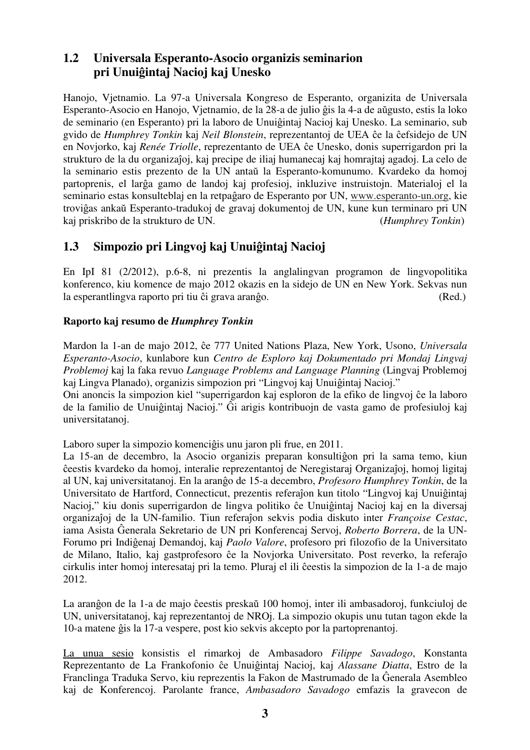## **1.2 Universala Esperanto-Asocio organizis seminarion pri Unuiĝintaj Nacioj kaj Unesko**

Hanojo, Vjetnamio. La 97-a Universala Kongreso de Esperanto, organizita de Universala Esperanto-Asocio en Hanojo, Vjetnamio, de la 28-a de julio ĝis la 4-a de aŭgusto, estis la loko de seminario (en Esperanto) pri la laboro de Unuiĝintaj Nacioj kaj Unesko. La seminario, sub gvido de *Humphrey Tonkin* kaj *Neil Blonstein*, reprezentantoj de UEA ĉe la ĉefsidejo de UN en Novjorko, kaj *Renée Triolle*, reprezentanto de UEA ĉe Unesko, donis superrigardon pri la strukturo de la du organizaĵoj, kaj precipe de iliaj humanecaj kaj homrajtaj agadoj. La celo de la seminario estis prezento de la UN antaŭ la Esperanto-komunumo. Kvardeko da homoj partoprenis, el larĝa gamo de landoj kaj profesioj, inkluzive instruistojn. Materialoj el la seminario estas konsulteblaj en la retpaĝaro de Esperanto por UN, www.esperanto-un.org, kie troviĝas ankaŭ Esperanto-tradukoj de gravaj dokumentoj de UN, kune kun terminaro pri UN kaj priskribo de la strukturo de UN. (*Humphrey Tonkin*)

## **1.3 Simpozio pri Lingvoj kaj Unuiĝintaj Nacioj**

En IpI 81 (2/2012), p.6-8, ni prezentis la anglalingvan programon de lingvopolitika konferenco, kiu komence de majo 2012 okazis en la sidejo de UN en New York. Sekvas nun la esperantlingva raporto pri tiu ĉi grava aranĝo. (Red.)

### **Raporto kaj resumo de** *Humphrey Tonkin*

Mardon la 1-an de majo 2012, ĉe 777 United Nations Plaza, New York, Usono, *Universala Esperanto-Asocio*, kunlabore kun *Centro de Esploro kaj Dokumentado pri Mondaj Lingvaj Problemoj* kaj la faka revuo *Language Problems and Language Planning* (Lingvaj Problemoj kaj Lingva Planado), organizis simpozion pri "Lingvoj kaj Unuiĝintaj Nacioj."

Oni anoncis la simpozion kiel "superrigardon kaj esploron de la efiko de lingvoj ĉe la laboro de la familio de Unuiĝintaj Nacioj." Ĝi arigis kontribuojn de vasta gamo de profesiuloj kaj universitatanoj.

Laboro super la simpozio komenciĝis unu jaron pli frue, en 2011.

La 15-an de decembro, la Asocio organizis preparan konsultiĝon pri la sama temo, kiun ĉeestis kvardeko da homoj, interalie reprezentantoj de Neregistaraj Organizaĵoj, homoj ligitaj al UN, kaj universitatanoj. En la aranĝo de 15-a decembro, *Profesoro Humphrey Tonkin*, de la Universitato de Hartford, Connecticut, prezentis referaĵon kun titolo "Lingvoj kaj Unuiĝintaj Nacioj," kiu donis superrigardon de lingva politiko ĉe Unuiĝintaj Nacioj kaj en la diversaj organizaĵoj de la UN-familio. Tiun referaĵon sekvis podia diskuto inter *Françoise Cestac*, iama Asista Ĝenerala Sekretario de UN pri Konferencaj Servoj, *Roberto Borrera*, de la UN-Forumo pri Indiĝenaj Demandoj, kaj *Paolo Valore*, profesoro pri filozofio de la Universitato de Milano, Italio, kaj gastprofesoro ĉe la Novjorka Universitato. Post reverko, la referaĵo cirkulis inter homoj interesataj pri la temo. Pluraj el ili ĉeestis la simpozion de la 1-a de majo 2012.

La aranĝon de la 1-a de majo ĉeestis preskaŭ 100 homoj, inter ili ambasadoroj, funkciuloj de UN, universitatanoj, kaj reprezentantoj de NROj. La simpozio okupis unu tutan tagon ekde la 10-a matene ĝis la 17-a vespere, post kio sekvis akcepto por la partoprenantoj.

La unua sesio konsistis el rimarkoj de Ambasadoro *Filippe Savadogo*, Konstanta Reprezentanto de La Frankofonio ĉe Unuiĝintaj Nacioj, kaj *Alassane Diatta*, Estro de la Franclinga Traduka Servo, kiu reprezentis la Fakon de Mastrumado de la Ĝenerala Asembleo kaj de Konferencoj. Parolante france, *Ambasadoro Savadogo* emfazis la gravecon de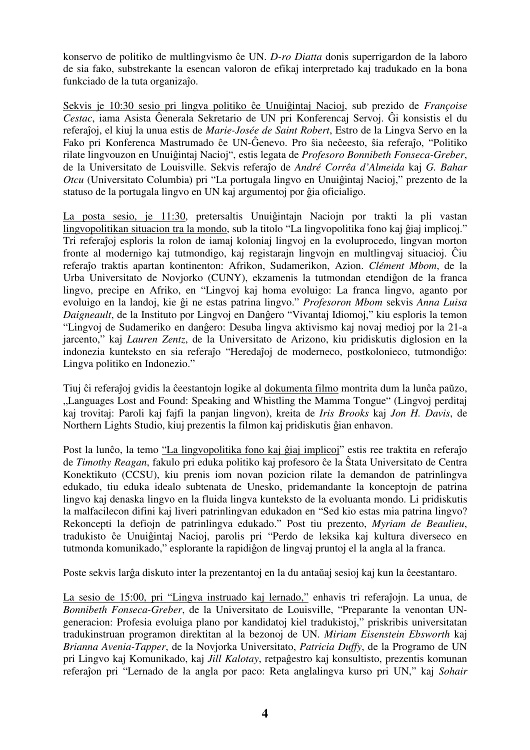konservo de politiko de multlingvismo ĉe UN. *D-ro Diatta* donis superrigardon de la laboro de sia fako, substrekante la esencan valoron de efikaj interpretado kaj tradukado en la bona funkciado de la tuta organizaĵo.

Sekvis je 10:30 sesio pri lingva politiko ĉe Unuiĝintaj Nacioj, sub prezido de *Françoise Cestac*, iama Asista Ĝenerala Sekretario de UN pri Konferencaj Servoj. Ĝi konsistis el du referaĵoj, el kiuj la unua estis de *Marie-Josée de Saint Robert*, Estro de la Lingva Servo en la Fako pri Konferenca Mastrumado ĉe UN-Ĝenevo. Pro ŝia neĉeesto, ŝia referaĵo, "Politiko rilate lingvouzon en Unuiĝintaj Nacioj", estis legata de *Profesoro Bonnibeth Fonseca-Greber*, de la Universitato de Louisville. Sekvis referaĵo de *André Corrêa d'Almeida* kaj *G. Bahar Otcu* (Universitato Columbia) pri "La portugala lingvo en Unuiĝintaj Nacioj," prezento de la statuso de la portugala lingvo en UN kaj argumentoj por ĝia oficialigo.

La posta sesio, je 11:30, pretersaltis Unuiĝintajn Naciojn por trakti la pli vastan lingvopolitikan situacion tra la mondo, sub la titolo "La lingvopolitika fono kaj ĝiaj implicoj." Tri referaĵoj esploris la rolon de iamaj koloniaj lingvoj en la evoluprocedo, lingvan morton fronte al modernigo kaj tutmondigo, kaj registarajn lingvojn en multlingvaj situacioj. Ĉiu referaĵo traktis apartan kontinenton: Afrikon, Sudamerikon, Azion. *Clément Mbom*, de la Urba Universitato de Novjorko (CUNY), ekzamenis la tutmondan etendiĝon de la franca lingvo, precipe en Afriko, en "Lingvoj kaj homa evoluigo: La franca lingvo, aganto por evoluigo en la landoj, kie ĝi ne estas patrina lingvo." *Profesoron Mbom* sekvis *Anna Luisa Daigneault*, de la Instituto por Lingvoj en Danĝero "Vivantaj Idiomoj," kiu esploris la temon "Lingvoj de Sudameriko en danĝero: Desuba lingva aktivismo kaj novaj medioj por la 21-a jarcento," kaj *Lauren Zentz*, de la Universitato de Arizono, kiu pridiskutis diglosion en la indonezia kunteksto en sia referaĵo "Heredaĵoj de moderneco, postkolonieco, tutmondiĝo: Lingva politiko en Indonezio."

Tiuj ĉi referaĵoj gvidis la ĉeestantojn logike al dokumenta filmo montrita dum la lunĉa paŭzo, "Languages Lost and Found: Speaking and Whistling the Mamma Tongue" (Lingvoj perditaj kaj trovitaj: Paroli kaj fajfi la panjan lingvon), kreita de *Iris Brooks* kaj *Jon H. Davis*, de Northern Lights Studio, kiuj prezentis la filmon kaj pridiskutis ĝian enhavon.

Post la lunĉo, la temo "La lingvopolitika fono kaj ĝiaj implicoj" estis ree traktita en referaĵo de *Timothy Reagan*, fakulo pri eduka politiko kaj profesoro ĉe la Ŝtata Universitato de Centra Konektikuto (CCSU), kiu prenis iom novan pozicion rilate la demandon de patrinlingva edukado, tiu eduka idealo subtenata de Unesko, pridemandante la konceptojn de patrina lingvo kaj denaska lingvo en la fluida lingva kunteksto de la evoluanta mondo. Li pridiskutis la malfacilecon difini kaj liveri patrinlingvan edukadon en "Sed kio estas mia patrina lingvo? Rekoncepti la defiojn de patrinlingva edukado." Post tiu prezento, *Myriam de Beaulieu*, tradukisto ĉe Unuiĝintaj Nacioj, parolis pri "Perdo de leksika kaj kultura diverseco en tutmonda komunikado," esplorante la rapidiĝon de lingvaj pruntoj el la angla al la franca.

Poste sekvis larĝa diskuto inter la prezentantoj en la du antaŭaj sesioj kaj kun la ĉeestantaro.

La sesio de 15:00, pri "Lingva instruado kaj lernado," enhavis tri referaĵojn. La unua, de *Bonnibeth Fonseca-Greber*, de la Universitato de Louisville, "Preparante la venontan UNgeneracion: Profesia evoluiga plano por kandidatoj kiel tradukistoj," priskribis universitatan tradukinstruan programon direktitan al la bezonoj de UN. *Miriam Eisenstein Ebsworth* kaj *Brianna Avenia-Tapper*, de la Novjorka Universitato, *Patricia Duffy*, de la Programo de UN pri Lingvo kaj Komunikado, kaj *Jill Kalotay*, retpaĝestro kaj konsultisto, prezentis komunan referaĵon pri "Lernado de la angla por paco: Reta anglalingva kurso pri UN," kaj *Sohair*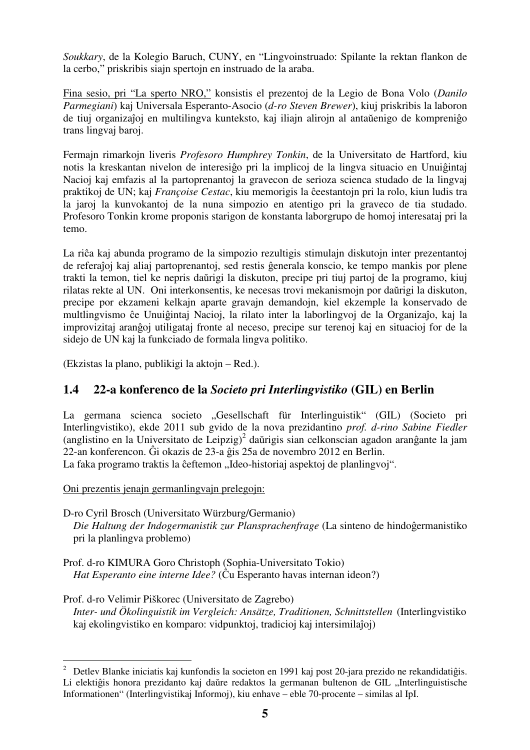*Soukkary*, de la Kolegio Baruch, CUNY, en "Lingvoinstruado: Spilante la rektan flankon de la cerbo," priskribis siajn spertojn en instruado de la araba.

Fina sesio, pri "La sperto NRO," konsistis el prezentoj de la Legio de Bona Volo (*Danilo Parmegiani*) kaj Universala Esperanto-Asocio (*d-ro Steven Brewer*), kiuj priskribis la laboron de tiuj organizaĵoj en multilingva kunteksto, kaj iliajn alirojn al antaŭenigo de kompreniĝo trans lingvaj baroj.

Fermajn rimarkojn liveris *Profesoro Humphrey Tonkin*, de la Universitato de Hartford, kiu notis la kreskantan nivelon de interesiĝo pri la implicoj de la lingva situacio en Unuiĝintaj Nacioj kaj emfazis al la partoprenantoj la gravecon de serioza scienca studado de la lingvaj praktikoj de UN; kaj *Françoise Cestac*, kiu memorigis la ĉeestantojn pri la rolo, kiun ludis tra la jaroj la kunvokantoj de la nuna simpozio en atentigo pri la graveco de tia studado. Profesoro Tonkin krome proponis starigon de konstanta laborgrupo de homoj interesataj pri la temo.

La riĉa kaj abunda programo de la simpozio rezultigis stimulajn diskutojn inter prezentantoj de referaĵoj kaj aliaj partoprenantoj, sed restis ĝenerala konscio, ke tempo mankis por plene trakti la temon, tiel ke nepris daŭrigi la diskuton, precipe pri tiuj partoj de la programo, kiuj rilatas rekte al UN. Oni interkonsentis, ke necesas trovi mekanismojn por daŭrigi la diskuton, precipe por ekzameni kelkajn aparte gravajn demandojn, kiel ekzemple la konservado de multlingvismo ĉe Unuiĝintaj Nacioj, la rilato inter la laborlingvoj de la Organizaĵo, kaj la improvizitaj aranĝoj utiligataj fronte al neceso, precipe sur terenoj kaj en situacioj for de la sidejo de UN kaj la funkciado de formala lingva politiko.

(Ekzistas la plano, publikigi la aktojn – Red.).

## **1.4 22-a konferenco de la** *Societo pri Interlingvistiko* **(GIL) en Berlin**

La germana scienca societo "Gesellschaft für Interlinguistik" (GIL) (Societo pri Interlingvistiko), ekde 2011 sub gvido de la nova prezidantino *prof. d-rino Sabine Fiedler* (anglistino en la Universitato de Leipzig)<sup>2</sup> daŭrigis sian celkonscian agadon aranĝante la jam 22-an konferencon. Ĝi okazis de 23-a ĝis 25a de novembro 2012 en Berlin. La faka programo traktis la ĉeftemon "Ideo-historiaj aspektoj de planlingvoj".

Oni prezentis jenajn germanlingvajn prelegojn:

D-ro Cyril Brosch (Universitato Würzburg/Germanio) *Die Haltung der Indogermanistik zur Plansprachenfrage* (La sinteno de hindoĝermanistiko pri la planlingva problemo)

Prof. d-ro KIMURA Goro Christoph (Sophia-Universitato Tokio) *Hat Esperanto eine interne Idee?* (Ĉu Esperanto havas internan ideon?)

Prof. d-ro Velimir Piškorec (Universitato de Zagrebo) *Inter- und Ökolinguistik im Vergleich: Ansätze, Traditionen, Schnittstellen* (Interlingvistiko kaj ekolingvistiko en komparo: vidpunktoj, tradicioj kaj intersimilaĵoj)

 $\frac{1}{2}$  Detlev Blanke iniciatis kaj kunfondis la societon en 1991 kaj post 20-jara prezido ne rekandidatiĝis. Li elektiĝis honora prezidanto kaj daŭre redaktos la germanan bultenon de GIL "Interlinguistische Informationen" (Interlingvistikaj Informoj), kiu enhave – eble 70-procente – similas al IpI.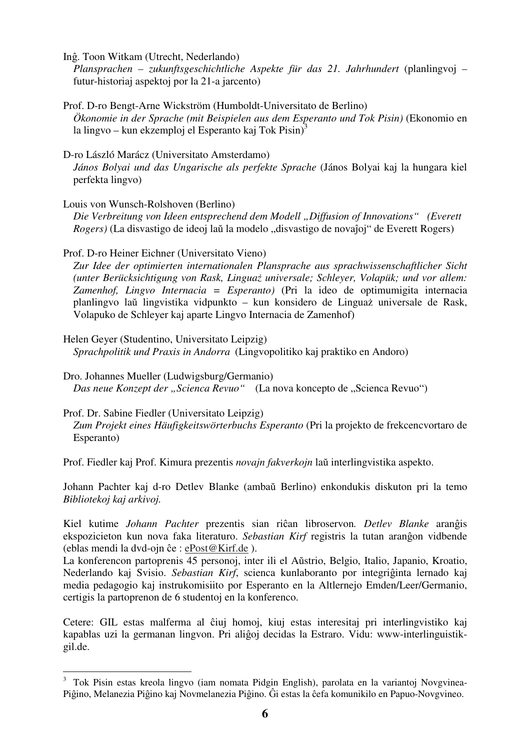Inĝ. Toon Witkam (Utrecht, Nederlando)

*Plansprachen – zukunftsgeschichtliche Aspekte für das 21. Jahrhundert* (planlingvoj – futur-historiaj aspektoj por la 21-a jarcento)

Prof. D-ro Bengt-Arne Wickström (Humboldt-Universitato de Berlino) *Ökonomie in der Sprache (mit Beispielen aus dem Esperanto und Tok Pisin)* (Ekonomio en la lingvo – kun ekzemploj el Esperanto kaj Tok Pisin $^{3}$ 

#### D-ro László Marácz (Universitato Amsterdamo)

*János Bolyai und das Ungarische als perfekte Sprache* (János Bolyai kaj la hungara kiel perfekta lingvo)

#### Louis von Wunsch-Rolshoven (Berlino)

*Die Verbreitung von Ideen entsprechend dem Modell "Diffusion of Innovations" (Everett Rogers*) (La disvastigo de ideoj laŭ la modelo "disvastigo de novaĵoj" de Everett Rogers)

### Prof. D-ro Heiner Eichner (Universitato Vieno)

*Zur Idee der optimierten internationalen Plansprache aus sprachwissenschaftlicher Sicht (unter Berücksichtigung von Rask, Linguaż universale; Schleyer, Volapük; und vor allem: Zamenhof, Lingvo Internacia = Esperanto)* (Pri la ideo de optimumigita internacia planlingvo laŭ lingvistika vidpunkto – kun konsidero de Linguaż universale de Rask, Volapuko de Schleyer kaj aparte Lingvo Internacia de Zamenhof)

Helen Geyer (Studentino, Universitato Leipzig) *Sprachpolitik und Praxis in Andorra* (Lingvopolitiko kaj praktiko en Andoro)

Dro. Johannes Mueller (Ludwigsburg/Germanio) *Das neue Konzept der "Scienca Revuo"* (La nova koncepto de "Scienca Revuo")

### Prof. Dr. Sabine Fiedler (Universitato Leipzig)

 $\overline{a}$ 

*Zum Projekt eines Häufigkeitswörterbuchs Esperanto* (Pri la projekto de frekcencvortaro de Esperanto)

Prof. Fiedler kaj Prof. Kimura prezentis *novajn fakverkojn* laŭ interlingvistika aspekto.

Johann Pachter kaj d-ro Detlev Blanke (ambaŭ Berlino) enkondukis diskuton pri la temo *Bibliotekoj kaj arkivoj.* 

Kiel kutime *Johann Pachter* prezentis sian riĉan libroservon*. Detlev Blanke* aranĝis ekspozicieton kun nova faka literaturo. *Sebastian Kirf* registris la tutan aranĝon vidbende (eblas mendi la dvd-ojn ĉe : ePost@Kirf.de ).

La konferencon partoprenis 45 personoj, inter ili el Aŭstrio, Belgio, Italio, Japanio, Kroatio, Nederlando kaj Svisio. *Sebastian Kirf*, scienca kunlaboranto por integriĝinta lernado kaj media pedagogio kaj instrukomisiito por Esperanto en la Altlernejo Emden/Leer/Germanio, certigis la partoprenon de 6 studentoj en la konferenco.

Cetere: GIL estas malferma al ĉiuj homoj, kiuj estas interesitaj pri interlingvistiko kaj kapablas uzi la germanan lingvon. Pri aliĝoj decidas la Estraro. Vidu: www-interlinguistikgil.de.

<sup>&</sup>lt;sup>3</sup> Tok Pisin estas kreola lingvo (iam nomata Pidgin English), parolata en la variantoj Novgvinea-Piĝino, Melanezia Piĝino kaj Novmelanezia Piĝino. Ĝi estas la ĉefa komunikilo en Papuo-Novgvineo.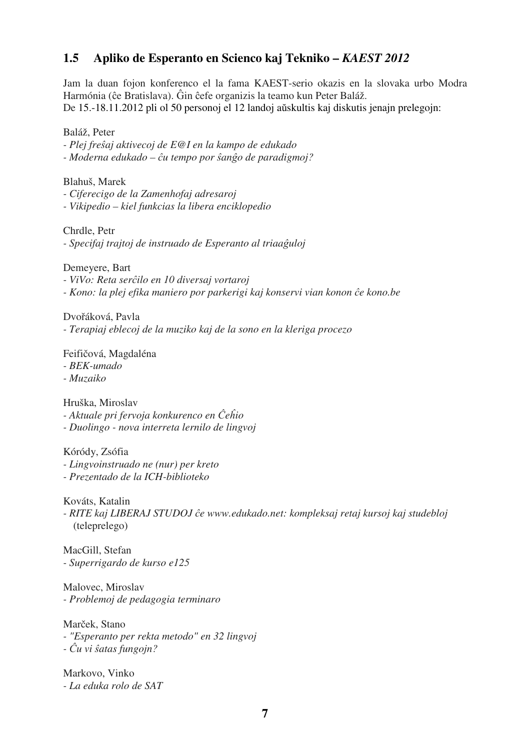## **1.5 Apliko de Esperanto en Scienco kaj Tekniko –** *KAEST 2012*

Jam la duan fojon konferenco el la fama KAEST-serio okazis en la slovaka urbo Modra Harmónia (ĉe Bratislava). Ĝin ĉefe organizis la teamo kun Peter Baláž. De 15.-18.11.2012 pli ol 50 personoj el 12 landoj aŭskultis kaj diskutis jenajn prelegojn:

Baláž, Peter

*- Plej freŝaj aktivecoj de E@I en la kampo de edukado* 

*- Moderna edukado – ĉu tempo por ŝanĝo de paradigmoj?* 

Blahuš, Marek

*- Ciferecigo de la Zamenhofaj adresaroj* 

*- Vikipedio – kiel funkcias la libera enciklopedio* 

Chrdle, Petr *- Specifaj trajtoj de instruado de Esperanto al triaaĝuloj* 

Demeyere, Bart

*- ViVo: Reta serĉilo en 10 diversaj vortaroj* 

*- Kono: la plej efika maniero por parkerigi kaj konservi vian konon ĉe kono.be* 

Dvořáková, Pavla

*- Terapiaj eblecoj de la muziko kaj de la sono en la kleriga procezo* 

Feifičová, Magdaléna

- *BEK-umado*
- *Muzaiko*

Hruška, Miroslav

*- Aktuale pri fervoja konkurenco en Ĉeĥio* 

*- Duolingo - nova interreta lernilo de lingvoj* 

Kóródy, Zsófia *- Lingvoinstruado ne (nur) per kreto* 

*- Prezentado de la ICH-biblioteko* 

Kováts, Katalin

*- RITE kaj LIBERAJ STUDOJ ĉe www.edukado.net: kompleksaj retaj kursoj kaj studebloj* (teleprelego)

MacGill, Stefan *- Superrigardo de kurso e125* 

Malovec, Miroslav *- Problemoj de pedagogia terminaro* 

Marček, Stano *- "Esperanto per rekta metodo" en 32 lingvoj - Ĉu vi ŝatas fungojn?* 

Markovo, Vinko *- La eduka rolo de SAT*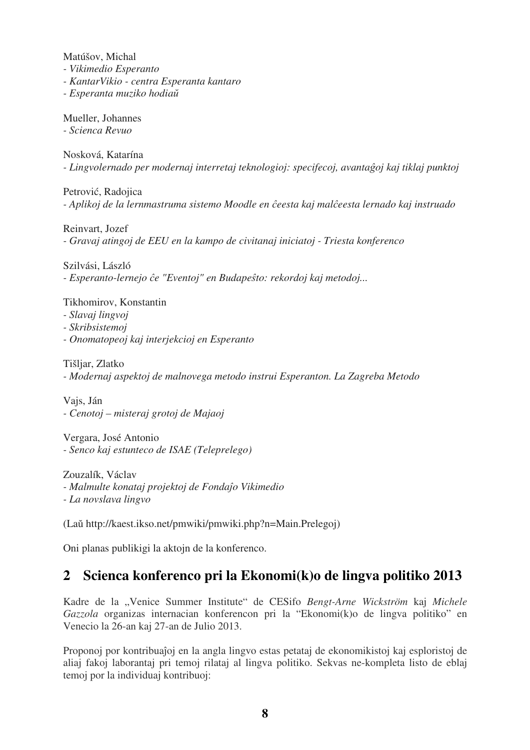Matúšov, Michal

*- Vikimedio Esperanto*

*- KantarVikio - centra Esperanta kantaro*

*- Esperanta muziko hodiaŭ*

Mueller, Johannes

*- Scienca Revuo* 

Nosková, Katarína *- Lingvolernado per modernaj interretaj teknologioj: specifecoj, avantaĝoj kaj tiklaj punktoj* 

Petrović, Radojica *- Aplikoj de la lernmastruma sistemo Moodle en ĉeesta kaj malĉeesta lernado kaj instruado* 

Reinvart, Jozef *- Gravaj atingoj de EEU en la kampo de civitanaj iniciatoj - Triesta konferenco* 

Szilvási, László *- Esperanto-lernejo ĉe "Eventoj" en Budapeŝto: rekordoj kaj metodoj...* 

Tikhomirov, Konstantin

- *Slavaj lingvoj*
- *Skribsistemoj*
- *Onomatopeoj kaj interjekcioj en Esperanto*

Tišljar, Zlatko

*- Modernaj aspektoj de malnovega metodo instrui Esperanton. La Zagreba Metodo* 

Vajs, Ján *- Cenotoj – misteraj grotoj de Majaoj* 

Vergara, José Antonio *- Senco kaj estunteco de ISAE (Teleprelego)* 

Zouzalík, Václav *- Malmulte konataj projektoj de Fondaĵo Vikimedio - La novslava lingvo* 

(Laŭ http://kaest.ikso.net/pmwiki/pmwiki.php?n=Main.Prelegoj)

Oni planas publikigi la aktojn de la konferenco.

# **2 Scienca konferenco pri la Ekonomi(k)o de lingva politiko 2013**

Kadre de la "Venice Summer Institute" de CESifo *Bengt-Arne Wickström* kaj *Michele Gazzola* organizas internacian konferencon pri la "Ekonomi(k)o de lingva politiko" en Venecio la 26-an kaj 27-an de Julio 2013.

Proponoj por kontribuaĵoj en la angla lingvo estas petataj de ekonomikistoj kaj esploristoj de aliaj fakoj laborantaj pri temoj rilataj al lingva politiko. Sekvas ne-kompleta listo de eblaj temoj por la individuaj kontribuoj: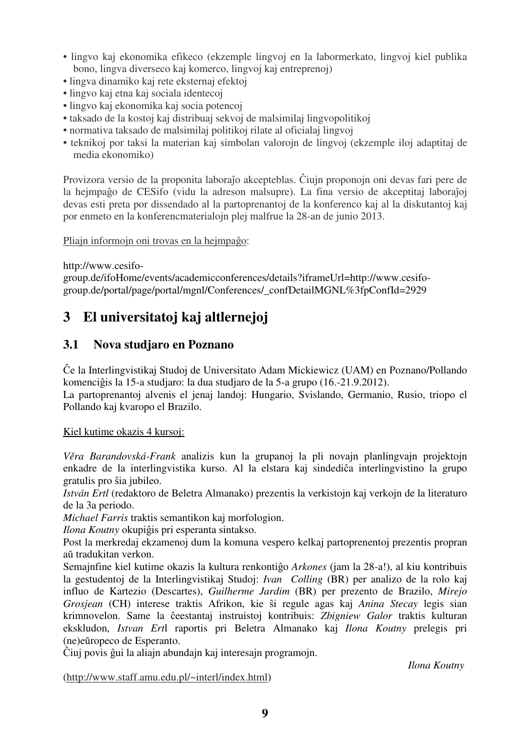- lingvo kaj ekonomika efikeco (ekzemple lingvoj en la labormerkato, lingvoj kiel publika bono, lingva diverseco kaj komerco, lingvoj kaj entreprenoj)
- lingva dinamiko kaj rete eksternaj efektoj
- lingvo kaj etna kaj sociala identecoj
- lingvo kaj ekonomika kaj socia potencoj
- taksado de la kostoj kaj distribuaj sekvoj de malsimilaj lingvopolitikoj
- normativa taksado de malsimilaj politikoj rilate al oficialaj lingvoj
- teknikoj por taksi la materian kaj simbolan valorojn de lingvoj (ekzemple iloj adaptitaj de media ekonomiko)

Provizora versio de la proponita laboraĵo akcepteblas. Ĉiujn proponojn oni devas fari pere de la hejmpaĝo de CESifo (vidu la adreson malsupre). La fina versio de akceptitaj laboraĵoj devas esti preta por dissendado al la partoprenantoj de la konferenco kaj al la diskutantoj kaj por enmeto en la konferencmaterialojn plej malfrue la 28-an de junio 2013.

Pliajn informojn oni trovas en la hejmpaĝo:

### http://www.cesifo-

group.de/ifoHome/events/academicconferences/details?iframeUrl=http://www.cesifogroup.de/portal/page/portal/mgnl/Conferences/\_confDetailMGNL%3fpConfId=2929

# **3 El universitatoj kaj altlernejoj**

## **3.1 Nova studjaro en Poznano**

Ĉe la Interlingvistikaj Studoj de Universitato Adam Mickiewicz (UAM) en Poznano/Pollando komenciĝis la 15-a studjaro: la dua studjaro de la 5-a grupo (16.-21.9.2012).

La partoprenantoj alvenis el jenaj landoj: Hungario, Svislando, Germanio, Rusio, triopo el Pollando kaj kvaropo el Brazilo.

### Kiel kutime okazis 4 kursoj:

*Věra Barandovská-Frank* analizis kun la grupanoj la pli novajn planlingvajn projektojn enkadre de la interlingvistika kurso. Al la elstara kaj sindediĉa interlingvistino la grupo gratulis pro ŝia jubileo.

*István Ertl* (redaktoro de Beletra Almanako) prezentis la verkistojn kaj verkojn de la literaturo de la 3a periodo.

*Michael Farris* traktis semantikon kaj morfologion.

*Ilona Koutny* okupiĝis pri esperanta sintakso.

Post la merkredaj ekzamenoj dum la komuna vespero kelkaj partoprenentoj prezentis propran aŭ tradukitan verkon.

Semajnfine kiel kutime okazis la kultura renkontiĝo *Arkones* (jam la 28-a!), al kiu kontribuis la gestudentoj de la Interlingvistikaj Studoj: *Ivan Colling* (BR) per analizo de la rolo kaj influo de Kartezio (Descartes), *Guilherme Jardim* (BR) per prezento de Brazilo, *Mirejo Grosjean* (CH) interese traktis Afrikon, kie ŝi regule agas kaj *Anina Stecay* legis sian krimnovelon. Same la ĉeestantaj instruistoj kontribuis: *Zbigniew Galor* traktis kulturan ekskludon, *Istvan Ert*l raportis pri Beletra Almanako kaj *Ilona Koutny* prelegis pri (ne)eŭropeco de Esperanto.

Ĉiuj povis ĝui la aliajn abundajn kaj interesajn programojn.

*Ilona Koutny*

(http://www.staff.amu.edu.pl/~interl/index.html)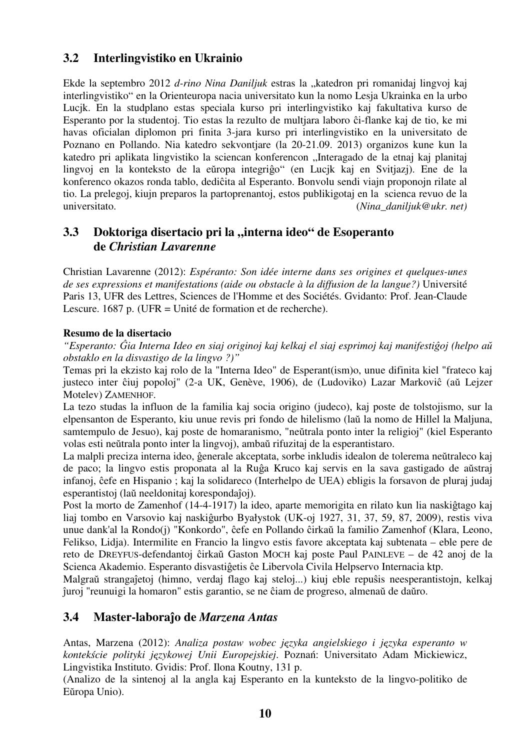## **3.2 Interlingvistiko en Ukrainio**

Ekde la septembro 2012 *d-rino Nina Daniljuk* estras la "katedron pri romanidaj lingvoj kaj interlingvistiko" en la Orienteuropa nacia universitato kun la nomo Lesja Ukrainka en la urbo Lucjk. En la studplano estas speciala kurso pri interlingvistiko kaj fakultativa kurso de Esperanto por la studentoj. Tio estas la rezulto de multjara laboro ĉi-flanke kaj de tio, ke mi havas oficialan diplomon pri finita 3-jara kurso pri interlingvistiko en la universitato de Poznano en Pollando. Nia katedro sekvontjare (la 20-21.09. 2013) organizos kune kun la katedro pri aplikata lingvistiko la sciencan konferencon "Interagado de la etnaj kaj planitaj lingvoj en la konteksto de la eŭropa integriĝo" (en Lucjk kaj en Svitjazj). Ene de la konferenco okazos ronda tablo, dediĉita al Esperanto. Bonvolu sendi viajn proponojn rilate al tio. La prelegoj, kiujn preparos la partoprenantoj, estos publikigotaj en la scienca revuo de la universitato. (*Nina\_daniljuk@ukr. net)*

## **3.3** Doktoriga disertacio pri la "interna ideo" de Esoperanto  **de** *Christian Lavarenne*

Christian Lavarenne (2012): *Espéranto: Son idée interne dans ses origines et quelques-unes de ses expressions et manifestations (aide ou obstacle à la diffusion de la langue?)* Université Paris 13, UFR des Lettres, Sciences de l'Homme et des Sociétés. Gvidanto: Prof. Jean-Claude Lescure. 1687 p. (UFR = Unité de formation et de recherche).

### **Resumo de la disertacio**

*"Esperanto: Ĝia Interna Ideo en siaj originoj kaj kelkaj el siaj esprimoj kaj manifestiĝoj (helpo aŭ obstaklo en la disvastigo de la lingvo ?)"* 

Temas pri la ekzisto kaj rolo de la "Interna Ideo" de Esperant(ism)o, unue difinita kiel "frateco kaj justeco inter ĉiuj popoloj" (2-a UK, Genève, 1906), de (Ludoviko) Lazar Markoviĉ (aŭ Lejzer Motelev) ZAMENHOF.

La tezo studas la influon de la familia kaj socia origino (judeco), kaj poste de tolstojismo, sur la elpensanton de Esperanto, kiu unue revis pri fondo de hilelismo (laŭ la nomo de Hillel la Maljuna, samtempulo de Jesuo), kaj poste de homaranismo, "neŭtrala ponto inter la religioj" (kiel Esperanto volas esti neŭtrala ponto inter la lingvoj), ambaŭ rifuzitaj de la esperantistaro.

La malpli preciza interna ideo, ĝenerale akceptata, sorbe inkludis idealon de tolerema neŭtraleco kaj de paco; la lingvo estis proponata al la Ruĝa Kruco kaj servis en la sava gastigado de aŭstraj infanoj, ĉefe en Hispanio ; kaj la solidareco (Interhelpo de UEA) ebligis la forsavon de pluraj judaj esperantistoj (laŭ neeldonitaj korespondaĵoj).

Post la morto de Zamenhof (14-4-1917) la ideo, aparte memorigita en rilato kun lia naskiĝtago kaj liaj tombo en Varsovio kaj naskiĝurbo Byałystok (UK-oj 1927, 31, 37, 59, 87, 2009), restis viva unue dank'al la Rondo(j) "Konkordo", ĉefe en Pollando ĉirkaŭ la familio Zamenhof (Klara, Leono, Felikso, Lidja). Intermilite en Francio la lingvo estis favore akceptata kaj subtenata – eble pere de reto de DREYFUS-defendantoj ĉirkaŭ Gaston MOCH kaj poste Paul PAINLEVE – de 42 anoj de la Scienca Akademio. Esperanto disvastiĝetis ĉe Libervola Civila Helpservo Internacia ktp.

Malgraŭ strangaĵetoj (himno, verdaj flago kaj steloj...) kiuj eble repuŝis neesperantistojn, kelkaj ĵuroj "reunuigi la homaron" estis garantio, se ne ĉiam de progreso, almenaŭ de daŭro.

## **3.4 Master-laboraĵo de** *Marzena Antas*

Antas, Marzena (2012): *Analiza postaw wobec języka angielskiego i języka esperanto w kontekście polityki językowej Unii Europejskiej*. Poznań: Universitato Adam Mickiewicz, Lingvistika Instituto. Gvidis: Prof. Ilona Koutny, 131 p.

(Analizo de la sintenoj al la angla kaj Esperanto en la kunteksto de la lingvo-politiko de Eŭropa Unio).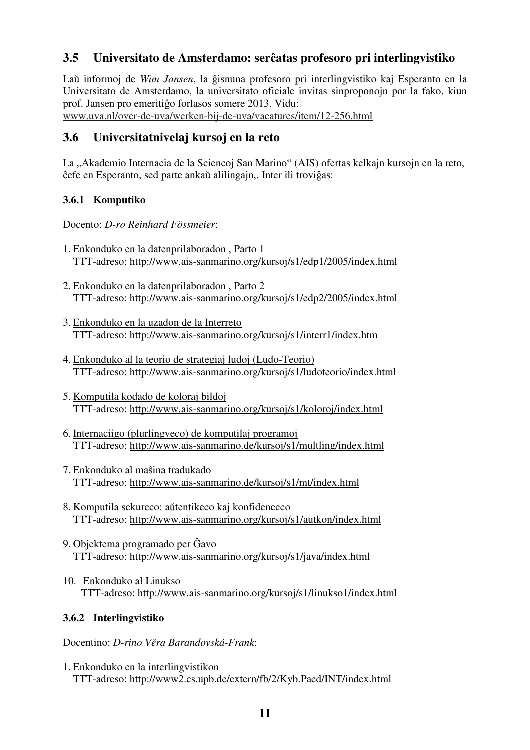## **3.5 Universitato de Amsterdamo: serĉatas profesoro pri interlingvistiko**

Laŭ informoj de *Wim Jansen*, la ĝisnuna profesoro pri interlingvistiko kaj Esperanto en la Universitato de Amsterdamo, la universitato oficiale invitas sinproponojn por la fako, kiun prof. Jansen pro emeritiĝo forlasos somere 2013. Vidu:

www.uva.nl/over-de-uva/werken-bij-de-uva/vacatures/item/12-256.html

## **3.6 Universitatnivelaj kursoj en la reto**

La "Akademio Internacia de la Sciencoj San Marino" (AIS) ofertas kelkajn kursojn en la reto, ĉefe en Esperanto, sed parte ankaŭ alilingajn,. Inter ili troviĝas:

### **3.6.1 Komputiko**

Docento: *D-ro Reinhard Fössmeier*:

- 1. Enkonduko en la datenprilaboradon , Parto 1 TTT-adreso: http://www.ais-sanmarino.org/kursoj/s1/edp1/2005/index.html
- 2. Enkonduko en la datenprilaboradon , Parto 2 TTT-adreso: http://www.ais-sanmarino.org/kursoj/s1/edp2/2005/index.html
- 3. Enkonduko en la uzadon de la Interreto TTT-adreso: http://www.ais-sanmarino.org/kursoj/s1/interr1/index.htm
- 4. Enkonduko al la teorio de strategiaj ludoj (Ludo-Teorio) TTT-adreso: http://www.ais-sanmarino.org/kursoj/s1/ludoteorio/index.html
- 5. Komputila kodado de koloraj bildoj TTT-adreso: http://www.ais-sanmarino.org/kursoj/s1/koloroj/index.html
- 6. Internaciigo (plurlingveco) de komputilaj programoj TTT-adreso: http://www.ais-sanmarino.de/kursoj/s1/multling/index.html
- 7. Enkonduko al maŝina tradukado TTT-adreso: http://www.ais-sanmarino.de/kursoj/s1/mt/index.html
- 8. Komputila sekureco: aŭtentikeco kaj konfidenceco TTT-adreso: http://www.ais-sanmarino.org/kursoj/s1/autkon/index.html
- 9. Objektema programado per Ĝavo TTT-adreso: http://www.ais-sanmarino.org/kursoj/s1/java/index.html
- 10. Enkonduko al Linukso TTT-adreso: http://www.ais-sanmarino.org/kursoj/s1/linukso1/index.html

### **3.6.2 Interlingvistiko**

Docentino: *D-rino Věra Barandovská-Frank*:

1. Enkonduko en la interlingvistikon TTT-adreso: http://www2.cs.upb.de/extern/fb/2/Kyb.Paed/INT/index.html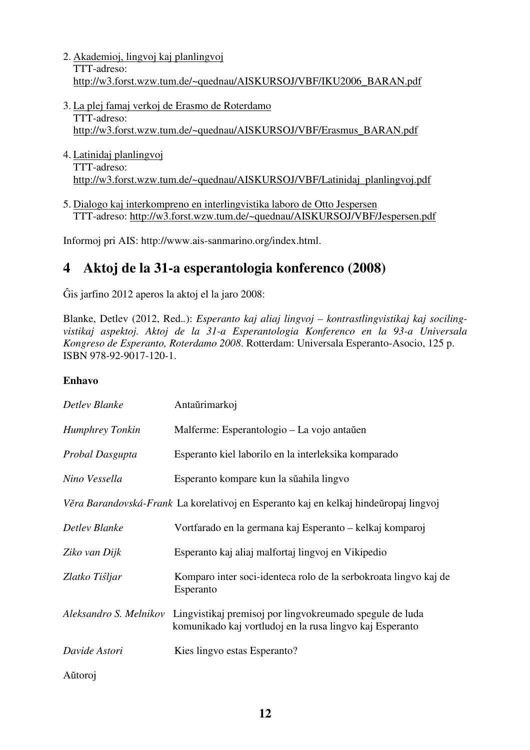- 2. Akademioj, lingvoj kaj planlingvoj TTT-adreso: http://w3.forst.wzw.tum.de/~quednau/AISKURSOJ/VBF/IKU2006\_BARAN.pdf
- 3. La plej famaj verkoj de Erasmo de Roterdamo TTT-adreso: http://w3.forst.wzw.tum.de/~quednau/AISKURSOJ/VBF/Erasmus\_BARAN.pdf
- 4. Latinidaj planlingvoj TTT-adreso: http://w3.forst.wzw.tum.de/~quednau/AISKURSOJ/VBF/Latinidaj\_planlingvoj.pdf
- 5. Dialogo kaj interkompreno en interlingvistika laboro de Otto Jespersen TTT-adreso: http://w3.forst.wzw.tum.de/~quednau/AISKURSOJ/VBF/Jespersen.pdf

Informoj pri AIS: http://www.ais-sanmarino.org/index.html.

# **4 Aktoj de la 31-a esperantologia konferenco (2008)**

Ĝis jarfino 2012 aperos la aktoj el la jaro 2008:

Blanke, Detlev (2012, Red.*.*): *Esperanto kaj aliaj lingvoj – kontrastlingvistikaj kaj socilingvistikaj aspektoj. Aktoj de la 31-a Esperantologia Konferenco en la 93-a Universala Kongreso de Esperanto, Roterdamo 2008*. Rotterdam: Universala Esperanto-Asocio, 125 p. ISBN 978-92-9017-120-1.

#### **Enhavo**

| Detlev Blanke          | Antaŭrimarkoj                                                                                                        |
|------------------------|----------------------------------------------------------------------------------------------------------------------|
| <b>Humphrey Tonkin</b> | Malferme: Esperantologio – La vojo antaŭen                                                                           |
| Probal Dasgupta        | Esperanto kiel laborilo en la interleksika komparado                                                                 |
| Nino Vessella          | Esperanto kompare kun la sŭahila lingvo                                                                              |
|                        | Věra Barandovská-Frank La korelativoj en Esperanto kaj en kelkaj hindeŭropaj lingvoj                                 |
| Detlev Blanke          | Vortfarado en la germana kaj Esperanto – kelkaj komparoj                                                             |
| Ziko van Dijk          | Esperanto kaj aliaj malfortaj lingvoj en Vikipedio                                                                   |
| Zlatko Tistjar         | Komparo inter soci-identeca rolo de la serbokroata lingvo kaj de<br>Esperanto                                        |
| Aleksandro S. Melnikov | Lingvistikaj premisoj por lingvokreumado spegule de luda<br>komunikado kaj vortludoj en la rusa lingvo kaj Esperanto |
| Davide Astori          | Kies lingvo estas Esperanto?                                                                                         |
| Aŭtoroj                |                                                                                                                      |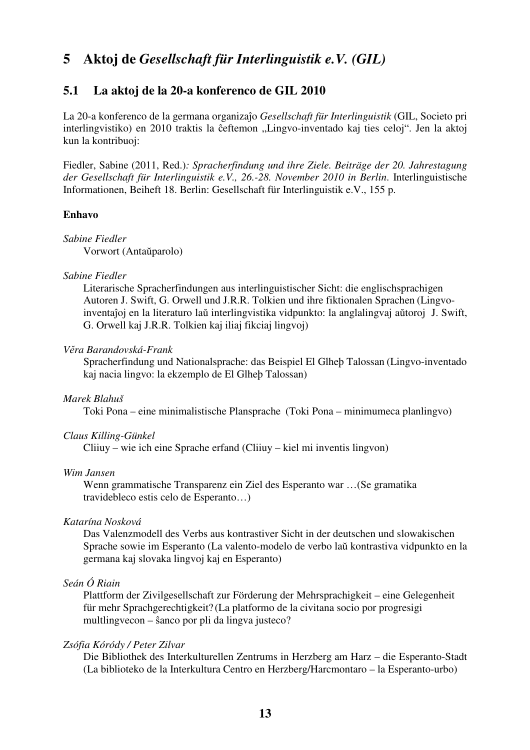# **5 Aktoj de** *Gesellschaft für Interlinguistik e.V. (GIL)*

### **5.1 La aktoj de la 20-a konferenco de GIL 2010**

La 20-a konferenco de la germana organizaĵo *Gesellschaft für Interlinguistik* (GIL, Societo pri interlingvistiko) en 2010 traktis la ĉeftemon "Lingvo-inventado kaj ties celoj". Jen la aktoj kun la kontribuoj:

Fiedler, Sabine (2011, Red.)*: Spracherfindung und ihre Ziele. Beiträge der 20. Jahrestagung der Gesellschaft für Interlinguistik e.V., 26.-28. November 2010 in Berlin*. Interlinguistische Informationen, Beiheft 18. Berlin: Gesellschaft für Interlinguistik e.V., 155 p.

#### **Enhavo**

*Sabine Fiedler* Vorwort (Antaŭparolo)

#### *Sabine Fiedler*

Literarische Spracherfindungen aus interlinguistischer Sicht: die englischsprachigen Autoren J. Swift, G. Orwell und J.R.R. Tolkien und ihre fiktionalen Sprachen (Lingvo inventaĵoj en la literaturo laŭ interlingvistika vidpunkto: la anglalingvaj aŭtoroj J. Swift, G. Orwell kaj J.R.R. Tolkien kaj iliaj fikciaj lingvoj)

#### *Vĕra Barandovská-Frank*

 Spracherfindung und Nationalsprache: das Beispiel El Glheþ Talossan (Lingvo-inventado kaj nacia lingvo: la ekzemplo de El Glheþ Talossan)

#### *Marek Blahuš*

Toki Pona – eine minimalistische Plansprache (Toki Pona – minimumeca planlingvo)

#### *Claus Killing-Günkel*

Cliiuy – wie ich eine Sprache erfand (Cliiuy – kiel mi inventis lingvon)

#### *Wim Jansen*

Wenn grammatische Transparenz ein Ziel des Esperanto war …(Se gramatika travidebleco estis celo de Esperanto…)

#### *Katarína Nosková*

Das Valenzmodell des Verbs aus kontrastiver Sicht in der deutschen und slowakischen Sprache sowie im Esperanto (La valento-modelo de verbo laŭ kontrastiva vidpunkto en la germana kaj slovaka lingvoj kaj en Esperanto)

#### *Seán Ó Riain*

Plattform der Zivilgesellschaft zur Förderung der Mehrsprachigkeit – eine Gelegenheit für mehr Sprachgerechtigkeit? (La platformo de la civitana socio por progresigi multlingvecon – ŝanco por pli da lingva justeco?

#### *Zsófia Kóródy / Peter Zilvar*

Die Bibliothek des Interkulturellen Zentrums in Herzberg am Harz – die Esperanto-Stadt (La biblioteko de la Interkultura Centro en Herzberg/Harcmontaro – la Esperanto-urbo)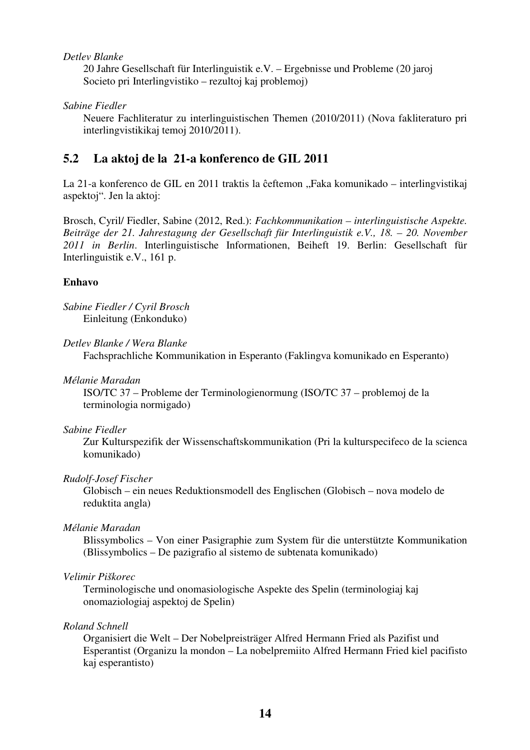#### *Detlev Blanke*

 20 Jahre Gesellschaft für Interlinguistik e.V. – Ergebnisse und Probleme (20 jaroj Societo pri Interlingvistiko – rezultoj kaj problemoj)

#### *Sabine Fiedler*

 Neuere Fachliteratur zu interlinguistischen Themen (2010/2011) (Nova fakliteraturo pri interlingvistikikaj temoj 2010/2011).

### **5.2 La aktoj de la 21-a konferenco de GIL 2011**

La 21-a konferenco de GIL en 2011 traktis la ĉeftemon "Faka komunikado – interlingvistikaj aspektoj". Jen la aktoj:

Brosch, Cyril/ Fiedler, Sabine (2012, Red.): *Fachkommunikation – interlinguistische Aspekte. Beiträge der 21. Jahrestagung der Gesellschaft für Interlinguistik e.V., 18. – 20. November 2011 in Berlin*. Interlinguistische Informationen, Beiheft 19. Berlin: Gesellschaft für Interlinguistik e.V., 161 p.

#### **Enhavo**

*Sabine Fiedler / Cyril Brosch*  Einleitung (Enkonduko)

#### *Detlev Blanke / Wera Blanke*

Fachsprachliche Kommunikation in Esperanto (Faklingva komunikado en Esperanto)

#### *Mélanie Maradan*

ISO/TC 37 – Probleme der Terminologienormung (ISO/TC 37 – problemoj de la terminologia normigado)

#### *Sabine Fiedler*

Zur Kulturspezifik der Wissenschaftskommunikation (Pri la kulturspecifeco de la scienca komunikado)

#### *Rudolf-Josef Fischer*

 Globisch – ein neues Reduktionsmodell des Englischen (Globisch – nova modelo de reduktita angla)

#### *Mélanie Maradan*

Blissymbolics – Von einer Pasigraphie zum System für die unterstützte Kommunikation (Blissymbolics – De pazigrafio al sistemo de subtenata komunikado)

#### *Velimir Piškorec*

Terminologische und onomasiologische Aspekte des Spelin (terminologiaj kaj onomaziologiaj aspektoj de Spelin)

#### *Roland Schnell*

Organisiert die Welt – Der Nobelpreisträger Alfred Hermann Fried als Pazifist und Esperantist (Organizu la mondon – La nobelpremiito Alfred Hermann Fried kiel pacifisto kaj esperantisto)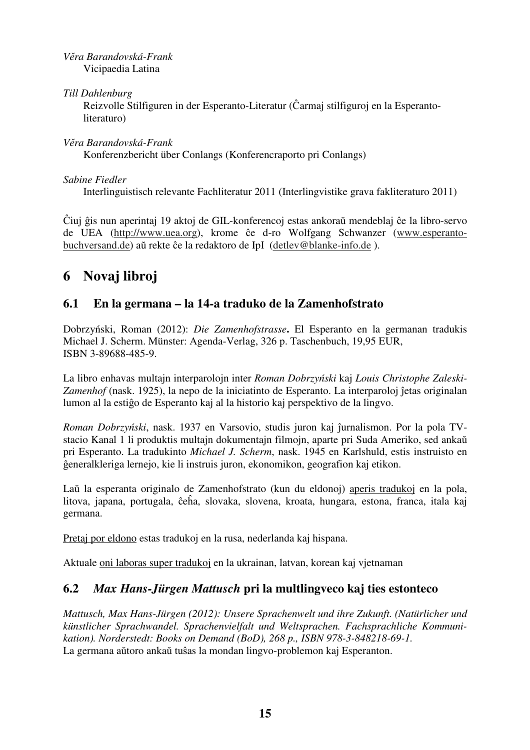*Vĕra Barandovská-Frank*  Vicipaedia Latina

*Till Dahlenburg* 

Reizvolle Stilfiguren in der Esperanto-Literatur (Ĉarmaj stilfiguroj en la Esperanto literaturo)

*Vĕra Barandovská-Frank* Konferenzbericht über Conlangs (Konferencraporto pri Conlangs)

*Sabine Fiedler* 

Interlinguistisch relevante Fachliteratur 2011 (Interlingvistike grava fakliteraturo 2011)

Ĉiuj ĝis nun aperintaj 19 aktoj de GIL-konferencoj estas ankoraŭ mendeblaj ĉe la libro-servo de UEA (http://www.uea.org), krome ĉe d-ro Wolfgang Schwanzer (www.esperantobuchversand.de) aŭ rekte ĉe la redaktoro de IpI (detlev@blanke-info.de ).

# **6 Novaj libroj**

## **6.1 En la germana – la 14-a traduko de la Zamenhofstrato**

Dobrzyński, Roman (2012): *Die Zamenhofstrasse***.** El Esperanto en la germanan tradukis Michael J. Scherm. Münster: Agenda-Verlag, 326 p. Taschenbuch, 19,95 EUR, ISBN 3-89688-485-9.

La libro enhavas multajn interparolojn inter *Roman Dobrzyński* kaj *Louis Christophe Zaleski-Zamenhof* (nask. 1925), la nepo de la iniciatinto de Esperanto. La interparoloj ĵetas originalan lumon al la estiĝo de Esperanto kaj al la historio kaj perspektivo de la lingvo.

*Roman Dobrzyński*, nask. 1937 en Varsovio, studis juron kaj ĵurnalismon. Por la pola TVstacio Kanal 1 li produktis multajn dokumentajn filmojn, aparte pri Suda Ameriko, sed ankaŭ pri Esperanto. La tradukinto *Michael J. Scherm*, nask. 1945 en Karlshuld, estis instruisto en ĝeneralkleriga lernejo, kie li instruis juron, ekonomikon, geografion kaj etikon.

Laŭ la esperanta originalo de Zamenhofstrato (kun du eldonoj) aperis tradukoj en la pola, litova, japana, portugala, ĉeĥa, slovaka, slovena, kroata, hungara, estona, franca, itala kaj germana.

Pretaj por eldono estas tradukoj en la rusa, nederlanda kaj hispana.

Aktuale oni laboras super tradukoj en la ukrainan, latvan, korean kaj vjetnaman

## **6.2** *Max Hans-Jürgen Mattusch* **pri la multlingveco kaj ties estonteco**

*Mattusch, Max Hans-Jürgen (2012): Unsere Sprachenwelt und ihre Zukunft. (Natürlicher und künstlicher Sprachwandel. Sprachenvielfalt und Weltsprachen. Fachsprachliche Kommunikation). Norderstedt: Books on Demand (BoD), 268 p., ISBN 978-3-848218-69-1.*  La germana aŭtoro ankaŭ tuŝas la mondan lingvo-problemon kaj Esperanton.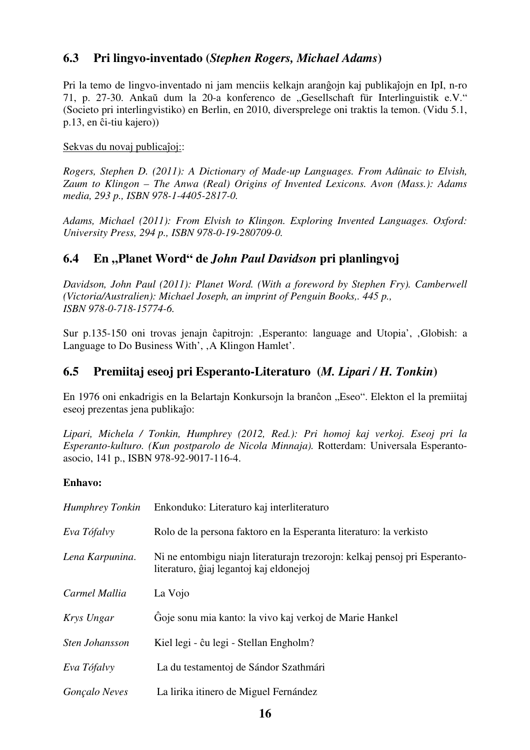## **6.3 Pri lingvo-inventado (***Stephen Rogers, Michael Adams***)**

Pri la temo de lingvo-inventado ni jam menciis kelkajn aranĝojn kaj publikaĵojn en IpI, n-ro 71, p. 27-30. Ankaŭ dum la 20-a konferenco de "Gesellschaft für Interlinguistik e.V." (Societo pri interlingvistiko) en Berlin, en 2010, diversprelege oni traktis la temon. (Vidu 5.1, p.13, en ĉi-tiu kajero))

### Sekvas du novaj publicaĵoj::

*Rogers, Stephen D. (2011): A Dictionary of Made-up Languages. From Adûnaic to Elvish, Zaum to Klingon – The Anwa (Real) Origins of Invented Lexicons. Avon (Mass.): Adams media, 293 p., ISBN 978-1-4405-2817-0.* 

*Adams, Michael (2011): From Elvish to Klingon. Exploring Invented Languages. Oxford: University Press, 294 p., ISBN 978-0-19-280709-0.* 

## **6.4 En "Planet Word" de** *John Paul Davidson* **pri planlingvoj**

*Davidson, John Paul (2011): Planet Word. (With a foreword by Stephen Fry). Camberwell (Victoria/Australien): Michael Joseph, an imprint of Penguin Books,. 445 p., ISBN 978-0-718-15774-6.* 

Sur p.135-150 oni trovas jenajn ĉapitrojn: , Esperanto: language and Utopia', , Globish: a Language to Do Business With', , A Klingon Hamlet'.

## **6.5 Premiitaj eseoj pri Esperanto-Literaturo (***M. Lipari / H. Tonkin***)**

En 1976 oni enkadrigis en la Belartajn Konkursojn la branĉon "Eseo". Elekton el la premiitaj eseoj prezentas jena publikaĵo:

*Lipari, Michela / Tonkin, Humphrey (2012, Red.): Pri homoj kaj verkoj. Eseoj pri la Esperanto-kulturo. (Kun postparolo de Nicola Minnaja).* Rotterdam: Universala Esperantoasocio, 141 p., ISBN 978-92-9017-116-4.

### **Enhavo:**

| Humphrey Tonkin      | Enkonduko: Literaturo kaj interliteraturo                                                                             |
|----------------------|-----------------------------------------------------------------------------------------------------------------------|
| Eva Tófalvy          | Rolo de la persona faktoro en la Esperanta literaturo: la verkisto                                                    |
| Lena Karpunina.      | Ni ne entombigu niajn literaturajn trezorojn: kelkaj pensoj pri Esperanto-<br>literaturo, ĝiaj legantoj kaj eldonejoj |
| Carmel Mallia        | La Vojo                                                                                                               |
| Krys Ungar           | Goje sonu mia kanto: la vivo kaj verkoj de Marie Hankel                                                               |
| Sten Johansson       | Kiel legi - ĉu legi - Stellan Engholm?                                                                                |
| Eva Tófalvy          | La du testamentoj de Sándor Szathmári                                                                                 |
| <b>Gonçalo Neves</b> | La lirika itinero de Miguel Fernández                                                                                 |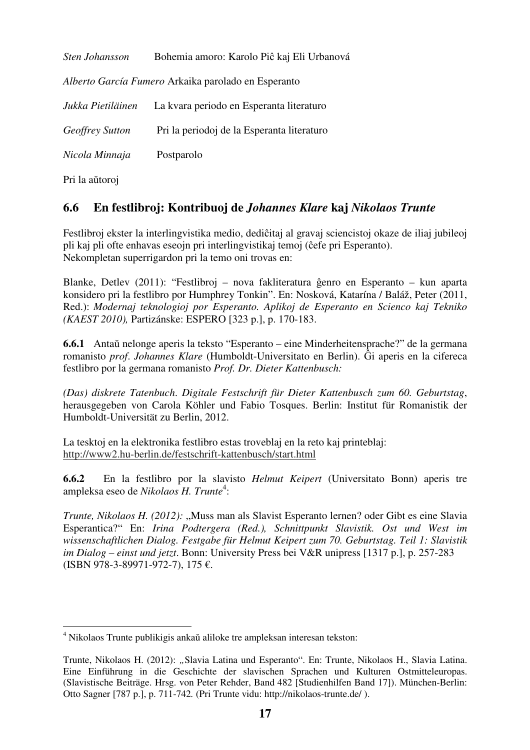| Sten Johansson    | Bohemia amoro: Karolo Piĉ kaj Eli Urbanová          |
|-------------------|-----------------------------------------------------|
|                   | Alberto García Fumero Arkaika parolado en Esperanto |
| Jukka Pietiläinen | La kvara periodo en Esperanta literaturo            |
| Geoffrey Sutton   | Pri la periodoj de la Esperanta literaturo          |
| Nicola Minnaja    | Postparolo                                          |
| Pri la aŭtoroj    |                                                     |

## **6.6 En festlibroj: Kontribuoj de** *Johannes Klare* **kaj** *Nikolaos Trunte*

Festlibroj ekster la interlingvistika medio, dediĉitaj al gravaj sciencistoj okaze de iliaj jubileoj pli kaj pli ofte enhavas eseojn pri interlingvistikaj temoj (ĉefe pri Esperanto). Nekompletan superrigardon pri la temo oni trovas en:

Blanke, Detlev (2011): "Festlibroj – nova fakliteratura ĝenro en Esperanto – kun aparta konsidero pri la festlibro por Humphrey Tonkin". En: Nosková, Katarína / Baláž, Peter (2011, Red.): *Modernaj teknologioj por Esperanto. Aplikoj de Esperanto en Scienco kaj Tekniko (KAEST 2010),* Partizánske: ESPERO [323 p.], p. 170-183.

**6.6.1** Antaŭ nelonge aperis la teksto "Esperanto – eine Minderheitensprache?" de la germana romanisto *prof*. *Johannes Klare* (Humboldt-Universitato en Berlin). Ĝi aperis en la cifereca festlibro por la germana romanisto *Prof. Dr. Dieter Kattenbusch:*

*(Das) diskrete Tatenbuch*. *Digitale Festschrift für Dieter Kattenbusch zum 60. Geburtstag*, herausgegeben von Carola Köhler und Fabio Tosques. Berlin: Institut für Romanistik der Humboldt-Universität zu Berlin, 2012.

La tesktoj en la elektronika festlibro estas troveblaj en la reto kaj printeblaj: http://www2.hu-berlin.de/festschrift-kattenbusch/start.html

**6.6.2** En la festlibro por la slavisto *Helmut Keipert* (Universitato Bonn) aperis tre ampleksa eseo de *Nikolaos H. Trunte*<sup>4</sup> :

*Trunte, Nikolaos H. (2012):* "Muss man als Slavist Esperanto lernen? oder Gibt es eine Slavia Esperantica?" En: *Irina Podtergera (Red.), Schnittpunkt Slavistik. Ost und West im wissenschaftlichen Dialog. Festgabe für Helmut Keipert zum 70. Geburtstag. Teil 1: Slavistik im Dialog – einst und jetzt*. Bonn: University Press bei V&R unipress [1317 p.], p. 257-283 (ISBN 978-3-89971-972-7), 175 €.

 $\overline{a}$ 4 Nikolaos Trunte publikigis ankaŭ aliloke tre ampleksan interesan tekston:

Trunte, Nikolaos H. (2012): *"*Slavia Latina und Esperanto". En: Trunte, Nikolaos H., Slavia Latina. Eine Einführung in die Geschichte der slavischen Sprachen und Kulturen Ostmitteleuropas. (Slavistische Beiträge. Hrsg. von Peter Rehder, Band 482 [Studienhilfen Band 17]). München-Berlin: Otto Sagner [787 p.], p. 711-742*.* (Pri Trunte vidu: http://nikolaos-trunte.de/ ).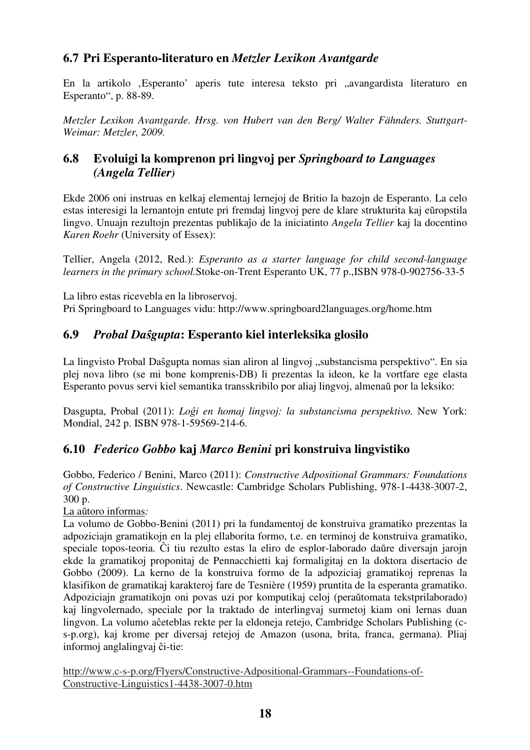## **6.7 Pri Esperanto-literaturo en** *Metzler Lexikon Avantgarde*

En la artikolo , Esperanto' aperis tute interesa teksto pri "avangardista literaturo en Esperanto", p. 88-89.

*Metzler Lexikon Avantgarde. Hrsg. von Hubert van den Berg/ Walter Fähnders. Stuttgart-Weimar: Metzler, 2009.* 

## **6.8 Evoluigi la komprenon pri lingvoj per** *Springboard to Languages (Angela Tellier)*

Ekde 2006 oni instruas en kelkaj elementaj lernejoj de Britio la bazojn de Esperanto. La celo estas interesigi la lernantojn entute pri fremdaj lingvoj pere de klare strukturita kaj eŭropstila lingvo. Unuajn rezultojn prezentas publikaĵo de la iniciatinto *Angela Tellier* kaj la docentino *Karen Roehr* (University of Essex):

Tellier, Angela (2012, Red.): *Esperanto as a starter language for child second-language learners in the primary school.*Stoke-on-Trent Esperanto UK, 77 p.,ISBN 978-0-902756-33-5

La libro estas ricevebla en la libroservoj. Pri Springboard to Languages vidu: http://www.springboard2languages.org/home.htm

## **6.9** *Probal Daŝgupta***: Esperanto kiel interleksika glosilo**

La lingvisto Probal Daŝgupta nomas sian aliron al lingvoj "substancisma perspektivo". En sia plej nova libro (se mi bone komprenis-DB) li prezentas la ideon, ke la vortfare ege elasta Esperanto povus servi kiel semantika transskribilo por aliaj lingvoj, almenaŭ por la leksiko:

Dasgupta, Probal (2011): *Loĝi en homaj lingvoj: la substancisma perspektivo.* New York: Mondial, 242 p. ISBN 978-1-59569-214-6.

## **6.10** *Federico Gobbo* **kaj** *Marco Benini* **pri konstruiva lingvistiko**

Gobbo, Federico / Benini, Marco (2011): *Constructive Adpositional Grammars: Foundations of Constructive Linguistics*. Newcastle: Cambridge Scholars Publishing, 978-1-4438-3007-2, 300 p.

La aŭtoro informas*:* 

La volumo de Gobbo-Benini (2011) pri la fundamentoj de konstruiva gramatiko prezentas la adpoziciajn gramatikojn en la plej ellaborita formo, t.e. en terminoj de konstruiva gramatiko, speciale topos-teoria. Ĉi tiu rezulto estas la eliro de esplor-laborado daŭre diversajn jarojn ekde la gramatikoj proponitaj de Pennacchietti kaj formaligitaj en la doktora disertacio de Gobbo (2009). La kerno de la konstruiva formo de la adpoziciaj gramatikoj reprenas la klasifikon de gramatikaj karakteroj fare de Tesnière (1959) pruntita de la esperanta gramatiko. Adpoziciajn gramatikojn oni povas uzi por komputikaj celoj (peraŭtomata tekstprilaborado) kaj lingvolernado, speciale por la traktado de interlingvaj surmetoj kiam oni lernas duan lingvon. La volumo aĉeteblas rekte per la eldoneja retejo, Cambridge Scholars Publishing (cs-p.org), kaj krome per diversaj retejoj de Amazon (usona, brita, franca, germana). Pliaj informoj anglalingvaj ĉi-tie:

http://www.c-s-p.org/Flyers/Constructive-Adpositional-Grammars--Foundations-of-Constructive-Linguistics1-4438-3007-0.htm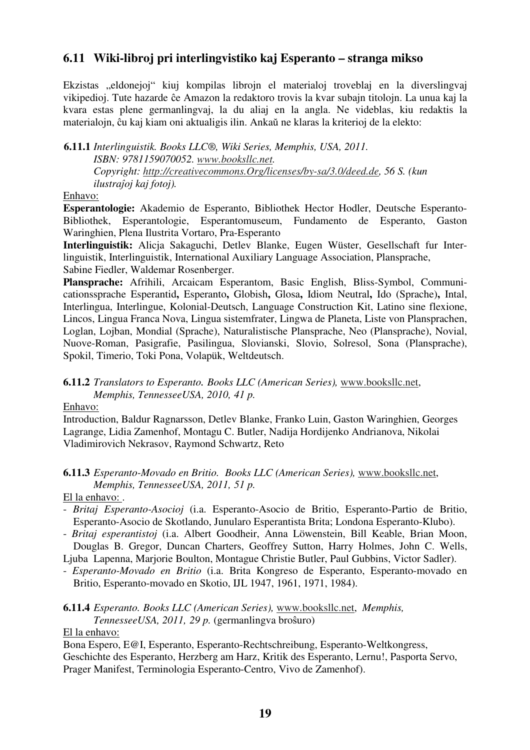## **6.11 Wiki-libroj pri interlingvistiko kaj Esperanto – stranga mikso**

Ekzistas "eldonejoj" kiuj kompilas librojn el materialoj troveblaj en la diverslingvaj vikipedioj. Tute hazarde ĉe Amazon la redaktoro trovis la kvar subajn titolojn. La unua kaj la kvara estas plene germanlingvaj, la du aliaj en la angla. Ne videblas, kiu redaktis la materialojn, ĉu kaj kiam oni aktualigis ilin. Ankaŭ ne klaras la kriterioj de la elekto:

**6.11.1** *Interlinguistik. Books LLC®, Wiki Series, Memphis, USA, 2011. ISBN: 9781159070052. www.booksllc.net. Copyright: http://creativecommons.Org/licenses/by-sa/3.0/deed.de, 56 S. (kun ilustraĵoj kaj fotoj).*

#### Enhavo:

**Esperantologie:** Akademio de Esperanto, Bibliothek Hector Hodler, Deutsche Esperanto-Bibliothek, Esperantologie, Esperantomuseum, Fundamento de Esperanto, Gaston Waringhien, Plena Ilustrita Vortaro, Pra-Esperanto

**Interlinguistik:** Alicja Sakaguchi, Detlev Blanke, Eugen Wüster, Gesellschaft fur Interlinguistik, Interlinguistik, International Auxiliary Language Association, Plansprache, Sabine Fiedler, Waldemar Rosenberger.

**Plansprache:** Afrihili, Arcaicam Esperantom, Basic English, Bliss-Symbol, Communicationssprache Esperantid**,** Esperanto**,** Globish**,** Glosa**,** Idiom Neutral**,** Ido (Sprache)**,** Intal, Interlingua, Interlingue, Kolonial-Deutsch, Language Construction Kit, Latino sine flexione, Lincos, Lingua Franca Nova, Lingua sistemfrater, Lingwa de Planeta, Liste von Plansprachen, Loglan, Lojban, Mondial (Sprache), Naturalistische Plansprache, Neo (Plansprache), Novial, Nuove-Roman, Pasigrafie, Pasilingua, Slovianski, Slovio, Solresol, Sona (Plansprache), Spokil, Timerio, Toki Pona, Volapük, Weltdeutsch.

### **6.11.2** *Translators to Esperanto. Books LLC (American Series),* www.booksllc.net,  *Memphis, TennesseeUSA, 2010, 41 p.*

Enhavo:

Introduction, Baldur Ragnarsson, Detlev Blanke, Franko Luin, Gaston Waringhien, Georges Lagrange, Lidia Zamenhof, Montagu C. Butler, Nadija Hordijenko Andrianova, Nikolai Vladimirovich Nekrasov, Raymond Schwartz, Reto

### **6.11.3** *Esperanto-Movado en Britio. Books LLC (American Series),* www.booksllc.net,  *Memphis, TennesseeUSA, 2011, 51 p.*

### El la enhavo: .

- *Britaj Esperanto-Asocioj* (i.a. Esperanto-Asocio de Britio, Esperanto-Partio de Britio, Esperanto-Asocio de Skotlando, Junularo Esperantista Brita; Londona Esperanto-Klubo).
- *Britaj esperantistoj* (i.a. Albert Goodheir, Anna Löwenstein, Bill Keable, Brian Moon, Douglas B. Gregor, Duncan Charters, Geoffrey Sutton, Harry Holmes, John C. Wells,

Ljuba Lapenna, Marjorie Boulton, Montague Christie Butler, Paul Gubbins, Victor Sadler).

- *Esperanto-Movado en Britio* (i.a. Brita Kongreso de Esperanto, Esperanto-movado en Britio, Esperanto-movado en Skotio, IJL 1947, 1961, 1971, 1984).
- **6.11.4** *Esperanto. Books LLC (American Series),* www.booksllc.net, *Memphis, TennesseeUSA, 2011, 29 p.* (germanlingva broŝuro)

### El la enhavo:

Bona Espero, E@I, Esperanto, Esperanto-Rechtschreibung, Esperanto-Weltkongress,

Geschichte des Esperanto, Herzberg am Harz, Kritik des Esperanto, Lernu!, Pasporta Servo, Prager Manifest, Terminologia Esperanto-Centro, Vivo de Zamenhof).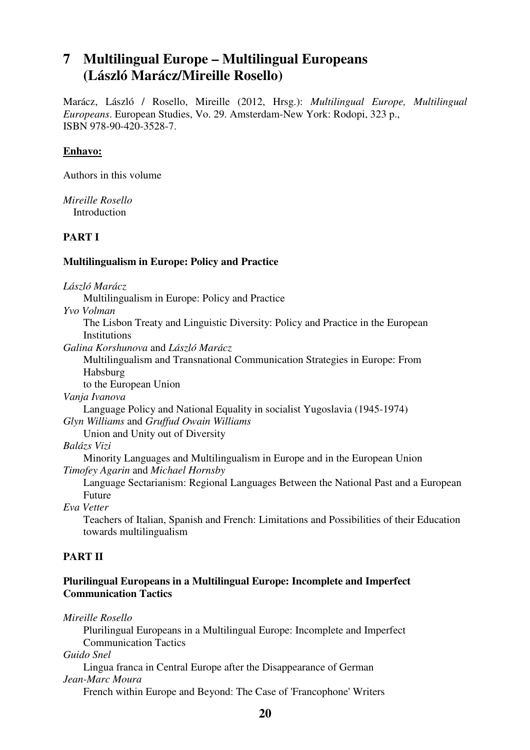# **7 Multilingual Europe – Multilingual Europeans (László Marácz/Mireille Rosello)**

Marácz, László / Rosello, Mireille (2012, Hrsg.): *Multilingual Europe, Multilingual Europeans*. European Studies, Vo. 29. Amsterdam-New York: Rodopi, 323 p., ISBN 978-90-420-3528-7.

#### **Enhavo:**

Authors in this volume

*Mireille Rosello*  **Introduction** 

#### **PART I**

#### **Multilingualism in Europe: Policy and Practice**

*László Marácz* 

Multilingualism in Europe: Policy and Practice

*Yvo Volman* 

 The Lisbon Treaty and Linguistic Diversity: Policy and Practice in the European **Institutions** 

*Galina Korshunova* and *László Marácz* 

 Multilingualism and Transnational Communication Strategies in Europe: From Habsburg

to the European Union

*Vanja Ivanova* 

 Language Policy and National Equality in socialist Yugoslavia (1945-1974) *Glyn Williams* and *Gruffud Owain Williams*

Union and Unity out of Diversity

*Balázs Vizi* 

 Minority Languages and Multilingualism in Europe and in the European Union *Timofey Agarin* and *Michael Hornsby*

 Language Sectarianism: Regional Languages Between the National Past and a European Future

*Eva Vetter* 

 Teachers of Italian, Spanish and French: Limitations and Possibilities of their Education towards multilingualism

### **PART II**

### **Plurilingual Europeans in a Multilingual Europe: Incomplete and Imperfect Communication Tactics**

*Mireille Rosello*  Plurilingual Europeans in a Multilingual Europe: Incomplete and Imperfect Communication Tactics *Guido Snel* 

 Lingua franca in Central Europe after the Disappearance of German *Jean-Marc Moura* 

French within Europe and Beyond: The Case of 'Francophone' Writers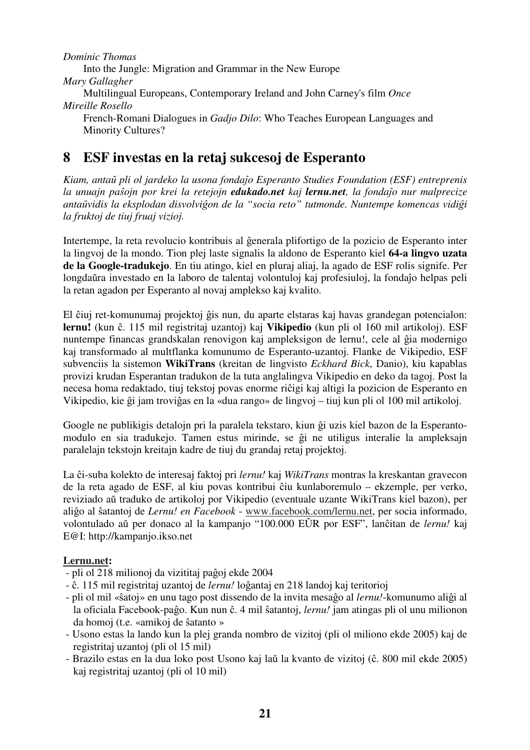*Dominic Thomas*  Into the Jungle: Migration and Grammar in the New Europe *Mary Gallagher*  Multilingual Europeans, Contemporary Ireland and John Carney's film *Once Mireille Rosello*  French-Romani Dialogues in *Gadjo Dilo*: Who Teaches European Languages and Minority Cultures?

# **8 ESF investas en la retaj sukcesoj de Esperanto**

*Kiam, antaŭ pli ol jardeko la usona fondaĵo Esperanto Studies Foundation (ESF) entreprenis la unuajn paŝojn por krei la retejojn edukado.net kaj lernu.net, la fondaĵo nur malprecize antaŭvidis la eksplodan disvolviĝon de la "socia reto" tutmonde. Nuntempe komencas vidiĝi la fruktoj de tiuj fruaj vizioj.*

Intertempe, la reta revolucio kontribuis al ĝenerala plifortigo de la pozicio de Esperanto inter la lingvoj de la mondo. Tion plej laste signalis la aldono de Esperanto kiel **64-a lingvo uzata de la Google-tradukejo**. En tiu atingo, kiel en pluraj aliaj, la agado de ESF rolis signife. Per longdaŭra investado en la laboro de talentaj volontuloj kaj profesiuloj, la fondaĵo helpas peli la retan agadon per Esperanto al novaj amplekso kaj kvalito.

El ĉiuj ret-komunumaj projektoj ĝis nun, du aparte elstaras kaj havas grandegan potencialon: **lernu!** (kun ĉ. 115 mil registritaj uzantoj) kaj **Vikipedio** (kun pli ol 160 mil artikoloj). ESF nuntempe financas grandskalan renovigon kaj ampleksigon de lernu!, cele al ĝia modernigo kaj transformado al multflanka komunumo de Esperanto-uzantoj. Flanke de Vikipedio, ESF subvenciis la sistemon **WikiTrans** (kreitan de lingvisto *Eckhard Bick*, Danio), kiu kapablas provizi krudan Esperantan tradukon de la tuta anglalingva Vikipedio en deko da tagoj. Post la necesa homa redaktado, tiuj tekstoj povas enorme riĉigi kaj altigi la pozicion de Esperanto en Vikipedio, kie ĝi jam troviĝas en la «dua rango» de lingvoj – tiuj kun pli ol 100 mil artikoloj.

Google ne publikigis detalojn pri la paralela tekstaro, kiun ĝi uzis kiel bazon de la Esperantomodulo en sia tradukejo. Tamen estus mirinde, se ĝi ne utiligus interalie la ampleksajn paralelajn tekstojn kreitajn kadre de tiuj du grandaj retaj projektoj.

La ĉi-suba kolekto de interesaj faktoj pri *lernu!* kaj *WikiTrans* montras la kreskantan gravecon de la reta agado de ESF, al kiu povas kontribui ĉiu kunlaboremulo – ekzemple, per verko, reviziado aŭ traduko de artikoloj por Vikipedio (eventuale uzante WikiTrans kiel bazon), per aliĝo al ŝatantoj de *Lernu! en Facebook* - www.facebook.com/lernu.net, per socia informado, volontulado aŭ per donaco al la kampanjo "100.000 EŬR por ESF", lanĉitan de *lernu!* kaj E@I: http://kampanjo.ikso.net

### **Lernu.net:**

- pli ol 218 milionoj da vizititaj paĝoj ekde 2004
- ĉ. 115 mil registritaj uzantoj de *lernu!* loĝantaj en 218 landoj kaj teritorioj
- pli ol mil «ŝatoj» en unu tago post dissendo de la invita mesaĝo al *lernu!*-komunumo aliĝi al la oficiala Facebook-paĝo. Kun nun ĉ. 4 mil ŝatantoj, *lernu!* jam atingas pli ol unu milionon da homoj (t.e. «amikoj de ŝatanto »
- Usono estas la lando kun la plej granda nombro de vizitoj (pli ol miliono ekde 2005) kaj de registritaj uzantoj (pli ol 15 mil)
- Brazilo estas en la dua loko post Usono kaj laŭ la kvanto de vizitoj (ĉ. 800 mil ekde 2005) kaj registritaj uzantoj (pli ol 10 mil)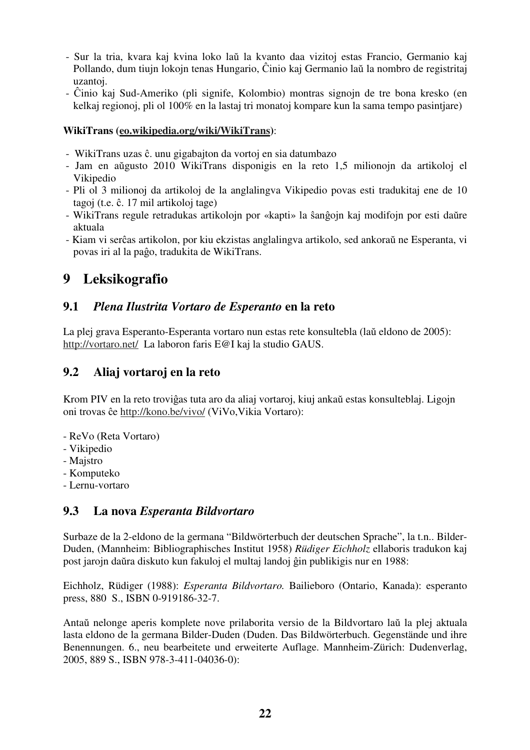- Sur la tria, kvara kaj kvina loko laŭ la kvanto daa vizitoj estas Francio, Germanio kaj Pollando, dum tiujn lokojn tenas Hungario, Ĉinio kaj Germanio laŭ la nombro de registritaj uzantoj.
- Ĉinio kaj Sud-Ameriko (pli signife, Kolombio) montras signojn de tre bona kresko (en kelkaj regionoj, pli ol 100% en la lastaj tri monatoj kompare kun la sama tempo pasintjare)

### **WikiTrans (eo.wikipedia.org/wiki/WikiTrans)**:

- WikiTrans uzas ĉ. unu gigabajton da vortoj en sia datumbazo
- Jam en aŭgusto 2010 WikiTrans disponigis en la reto 1,5 milionojn da artikoloj el Vikipedio
- Pli ol 3 milionoj da artikoloj de la anglalingva Vikipedio povas esti tradukitaj ene de 10 tagoj (t.e. ĉ. 17 mil artikoloj tage)
- WikiTrans regule retradukas artikolojn por «kapti» la ŝanĝojn kaj modifojn por esti daŭre aktuala
- Kiam vi serĉas artikolon, por kiu ekzistas anglalingva artikolo, sed ankoraŭ ne Esperanta, vi povas iri al la paĝo, tradukita de WikiTrans.

# **9 Leksikografio**

## **9.1** *Plena Ilustrita Vortaro de Esperanto* **en la reto**

La plej grava Esperanto-Esperanta vortaro nun estas rete konsultebla (laŭ eldono de 2005): http://vortaro.net/ La laboron faris E@I kaj la studio GAUS.

## **9.2 Aliaj vortaroj en la reto**

Krom PIV en la reto troviĝas tuta aro da aliaj vortaroj, kiuj ankaŭ estas konsulteblaj. Ligojn oni trovas ĉe http://kono.be/vivo/ (ViVo,Vikia Vortaro):

- ReVo (Reta Vortaro)
- Vikipedio
- Majstro
- Komputeko
- Lernu-vortaro

### **9.3 La nova** *Esperanta Bildvortaro*

Surbaze de la 2-eldono de la germana "Bildwörterbuch der deutschen Sprache", la t.n.. Bilder-Duden, (Mannheim: Bibliographisches Institut 1958) *Rüdiger Eichholz* ellaboris tradukon kaj post jarojn daŭra diskuto kun fakuloj el multaj landoj ĝin publikigis nur en 1988:

Eichholz, Rüdiger (1988): *Esperanta Bildvortaro.* Bailieboro (Ontario, Kanada): esperanto press, 880 S., ISBN 0-919186-32-7.

Antaŭ nelonge aperis komplete nove prilaborita versio de la Bildvortaro laŭ la plej aktuala lasta eldono de la germana Bilder-Duden (Duden. Das Bildwörterbuch. Gegenstände und ihre Benennungen. 6., neu bearbeitete und erweiterte Auflage. Mannheim-Zürich: Dudenverlag, 2005, 889 S., ISBN 978-3-411-04036-0):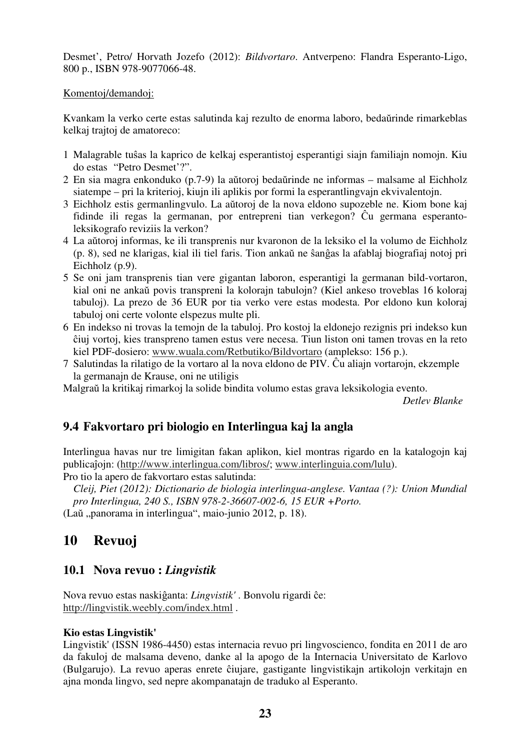Desmet', Petro/ Horvath Jozefo (2012): *Bildvortaro*. Antverpeno: Flandra Esperanto-Ligo, 800 p., ISBN 978-9077066-48.

#### Komentoj/demandoj:

Kvankam la verko certe estas salutinda kaj rezulto de enorma laboro, bedaŭrinde rimarkeblas kelkaj trajtoj de amatoreco:

- 1 Malagrable tuŝas la kaprico de kelkaj esperantistoj esperantigi siajn familiajn nomojn. Kiu do estas "Petro Desmet'?".
- 2 En sia magra enkonduko (p.7-9) la aŭtoroj bedaŭrinde ne informas malsame al Eichholz siatempe – pri la kriterioj, kiujn ili aplikis por formi la esperantlingvajn ekvivalentojn.
- 3 Eichholz estis germanlingvulo. La aŭtoroj de la nova eldono supozeble ne. Kiom bone kaj fidinde ili regas la germanan, por entrepreni tian verkegon? Ĉu germana esperanto leksikografo reviziis la verkon?
- 4 La aŭtoroj informas, ke ili transprenis nur kvaronon de la leksiko el la volumo de Eichholz (p. 8), sed ne klarigas, kial ili tiel faris. Tion ankaŭ ne ŝanĝas la afablaj biografiaj notoj pri Eichholz (p.9).
- 5 Se oni jam transprenis tian vere gigantan laboron, esperantigi la germanan bild-vortaron, kial oni ne ankaŭ povis transpreni la kolorajn tabulojn? (Kiel ankeso troveblas 16 koloraj tabuloj). La prezo de 36 EUR por tia verko vere estas modesta. Por eldono kun koloraj tabuloj oni certe volonte elspezus multe pli.
- 6 En indekso ni trovas la temojn de la tabuloj. Pro kostoj la eldonejo rezignis pri indekso kun ĉiuj vortoj, kies transpreno tamen estus vere necesa. Tiun liston oni tamen trovas en la reto kiel PDF-dosiero: www.wuala.com/Retbutiko/Bildvortaro (amplekso: 156 p.).
- 7 Salutindas la rilatigo de la vortaro al la nova eldono de PIV. Ĉu aliajn vortarojn, ekzemple la germanajn de Krause, oni ne utiligis

Malgraŭ la kritikaj rimarkoj la solide bindita volumo estas grava leksikologia evento.

*Detlev Blanke* 

## **9.4 Fakvortaro pri biologio en Interlingua kaj la angla**

Interlingua havas nur tre limigitan fakan aplikon, kiel montras rigardo en la katalogojn kaj publicaĵojn: (http://www.interlingua.com/libros/; www.interlinguia.com/lulu).

Pro tio la apero de fakvortaro estas salutinda:

*Cleij, Piet (2012): Dictionario de biologia interlingua-anglese. Vantaa (?): Union Mundial pro Interlingua, 240 S., ISBN 978-2-36607-002-6, 15 EUR +Porto.* 

(Laŭ "panorama in interlingua", maio-junio 2012, p. 18).

# **10 Revuoj**

## **10.1 Nova revuo :** *Lingvistik*

Nova revuo estas naskiĝanta: *Lingvistik'* . Bonvolu rigardi ĉe: http://lingvistik.weebly.com/index.html .

### **Kio estas Lingvistik'**

Lingvistik' (ISSN 1986-4450) estas internacia revuo pri lingvoscienco, fondita en 2011 de aro da fakuloj de malsama deveno, danke al la apogo de la Internacia Universitato de Karlovo (Bulgarujo). La revuo aperas enrete ĉiujare, gastigante lingvistikajn artikolojn verkitajn en ajna monda lingvo, sed nepre akompanatajn de traduko al Esperanto.